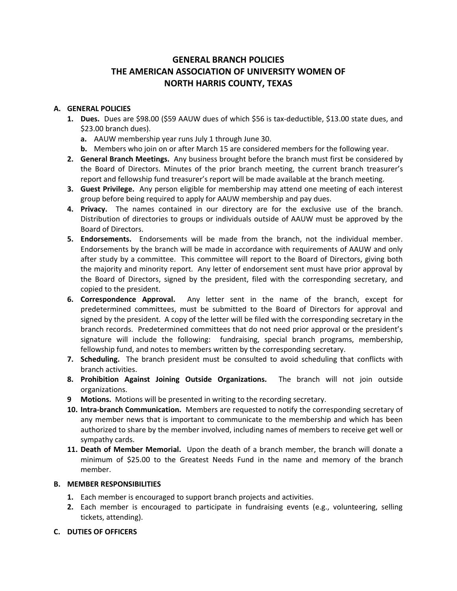# **GENERAL BRANCH POLICIES THE AMERICAN ASSOCIATION OF UNIVERSITY WOMEN OF NORTH HARRIS COUNTY, TEXAS**

## **A. GENERAL POLICIES**

- **1. Dues.** Dues are \$98.00 (\$59 AAUW dues of which \$56 is tax-deductible, \$13.00 state dues, and \$23.00 branch dues).
	- **a.** AAUW membership year runs July 1 through June 30.
	- **b.** Members who join on or after March 15 are considered members for the following year.
- **2. General Branch Meetings.** Any business brought before the branch must first be considered by the Board of Directors. Minutes of the prior branch meeting, the current branch treasurer's report and fellowship fund treasurer's report will be made available at the branch meeting.
- **3. Guest Privilege.** Any person eligible for membership may attend one meeting of each interest group before being required to apply for AAUW membership and pay dues.
- **4. Privacy.** The names contained in our directory are for the exclusive use of the branch. Distribution of directories to groups or individuals outside of AAUW must be approved by the Board of Directors.
- **5. Endorsements.** Endorsements will be made from the branch, not the individual member. Endorsements by the branch will be made in accordance with requirements of AAUW and only after study by a committee. This committee will report to the Board of Directors, giving both the majority and minority report. Any letter of endorsement sent must have prior approval by the Board of Directors, signed by the president, filed with the corresponding secretary, and copied to the president.
- **6. Correspondence Approval.** Any letter sent in the name of the branch, except for predetermined committees, must be submitted to the Board of Directors for approval and signed by the president. A copy of the letter will be filed with the corresponding secretary in the branch records. Predetermined committees that do not need prior approval or the president's signature will include the following: fundraising, special branch programs, membership, fellowship fund, and notes to members written by the corresponding secretary.
- **7. Scheduling.** The branch president must be consulted to avoid scheduling that conflicts with branch activities.
- **8. Prohibition Against Joining Outside Organizations.** The branch will not join outside organizations.
- **9 Motions.** Motions will be presented in writing to the recording secretary.
- **10. Intra-branch Communication.** Members are requested to notify the corresponding secretary of any member news that is important to communicate to the membership and which has been authorized to share by the member involved, including names of members to receive get well or sympathy cards.
- **11. Death of Member Memorial.** Upon the death of a branch member, the branch will donate a minimum of \$25.00 to the Greatest Needs Fund in the name and memory of the branch member.

### **B. MEMBER RESPONSIBILITIES**

- **1.** Each member is encouraged to support branch projects and activities.
- **2.** Each member is encouraged to participate in fundraising events (e.g., volunteering, selling tickets, attending).

#### **C. DUTIES OF OFFICERS**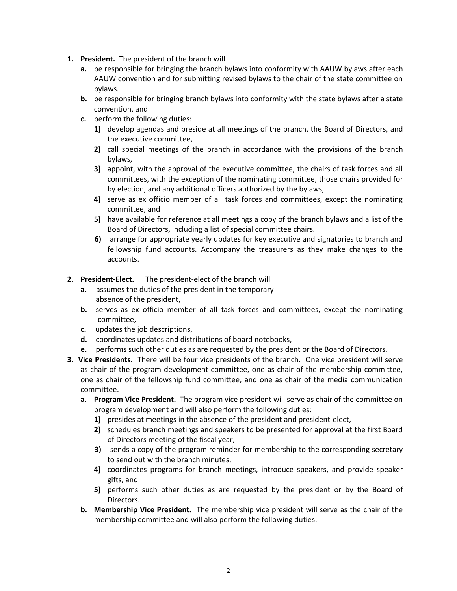- **1. President.** The president of the branch will
	- **a.** be responsible for bringing the branch bylaws into conformity with AAUW bylaws after each AAUW convention and for submitting revised bylaws to the chair of the state committee on bylaws.
	- **b.** be responsible for bringing branch bylaws into conformity with the state bylaws after a state convention, and
	- **c.** perform the following duties:
		- **1)** develop agendas and preside at all meetings of the branch, the Board of Directors, and the executive committee,
		- **2)** call special meetings of the branch in accordance with the provisions of the branch bylaws,
		- **3)** appoint, with the approval of the executive committee, the chairs of task forces and all committees, with the exception of the nominating committee, those chairs provided for by election, and any additional officers authorized by the bylaws,
		- **4)** serve as ex officio member of all task forces and committees, except the nominating committee, and
		- **5)** have available for reference at all meetings a copy of the branch bylaws and a list of the Board of Directors, including a list of special committee chairs.
		- **6)** arrange for appropriate yearly updates for key executive and signatories to branch and fellowship fund accounts. Accompany the treasurers as they make changes to the accounts.
- **2. President-Elect.** The president-elect of the branch will
	- **a.** assumes the duties of the president in the temporary absence of the president,
	- **b.** serves as ex officio member of all task forces and committees, except the nominating committee,
	- **c.** updates the job descriptions,
	- **d.** coordinates updates and distributions of board notebooks,
	- **e.** performs such other duties as are requested by the president or the Board of Directors.
- **3. Vice Presidents.** There will be four vice presidents of the branch. One vice president will serve as chair of the program development committee, one as chair of the membership committee, one as chair of the fellowship fund committee, and one as chair of the media communication committee.
	- **a. Program Vice President.** The program vice president will serve as chair of the committee on program development and will also perform the following duties:
		- **1)** presides at meetings in the absence of the president and president-elect,
		- **2)** schedules branch meetings and speakers to be presented for approval at the first Board of Directors meeting of the fiscal year,
		- **3)** sends a copy of the program reminder for membership to the corresponding secretary to send out with the branch minutes,
		- **4)** coordinates programs for branch meetings, introduce speakers, and provide speaker gifts, and
		- **5)** performs such other duties as are requested by the president or by the Board of Directors.
	- **b. Membership Vice President.** The membership vice president will serve as the chair of the membership committee and will also perform the following duties: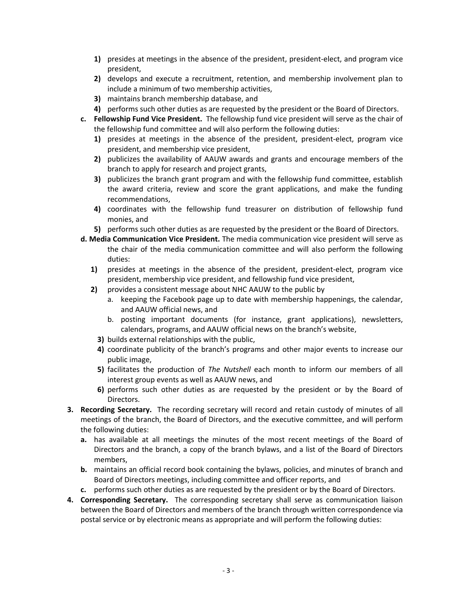- **1)** presides at meetings in the absence of the president, president-elect, and program vice president,
- **2)** develops and execute a recruitment, retention, and membership involvement plan to include a minimum of two membership activities,
- **3)** maintains branch membership database, and
- **4)** performs such other duties as are requested by the president or the Board of Directors.
- **c. Fellowship Fund Vice President.** The fellowship fund vice president will serve as the chair of the fellowship fund committee and will also perform the following duties:
	- **1)** presides at meetings in the absence of the president, president-elect, program vice president, and membership vice president,
	- **2)** publicizes the availability of AAUW awards and grants and encourage members of the branch to apply for research and project grants,
	- **3)** publicizes the branch grant program and with the fellowship fund committee, establish the award criteria, review and score the grant applications, and make the funding recommendations,
	- **4)** coordinates with the fellowship fund treasurer on distribution of fellowship fund monies, and
	- **5)** performs such other duties as are requested by the president or the Board of Directors.
- **d. Media Communication Vice President.** The media communication vice president will serve as the chair of the media communication committee and will also perform the following duties:
	- **1)** presides at meetings in the absence of the president, president-elect, program vice president, membership vice president, and fellowship fund vice president,
	- **2)** provides a consistent message about NHC AAUW to the public by
		- a. keeping the Facebook page up to date with membership happenings, the calendar, and AAUW official news, and
		- b. posting important documents (for instance, grant applications), newsletters, calendars, programs, and AAUW official news on the branch's website,
		- **3)** builds external relationships with the public,
		- **4)** coordinate publicity of the branch's programs and other major events to increase our public image,
		- **5)** facilitates the production of *The Nutshell* each month to inform our members of all interest group events as well as AAUW news, and
		- **6)** performs such other duties as are requested by the president or by the Board of Directors.
- **3. Recording Secretary.** The recording secretary will record and retain custody of minutes of all meetings of the branch, the Board of Directors, and the executive committee, and will perform the following duties:
	- **a.** has available at all meetings the minutes of the most recent meetings of the Board of Directors and the branch, a copy of the branch bylaws, and a list of the Board of Directors members,
	- **b.** maintains an official record book containing the bylaws, policies, and minutes of branch and Board of Directors meetings, including committee and officer reports, and
	- **c.** performs such other duties as are requested by the president or by the Board of Directors.
- **4. Corresponding Secretary.** The corresponding secretary shall serve as communication liaison between the Board of Directors and members of the branch through written correspondence via postal service or by electronic means as appropriate and will perform the following duties: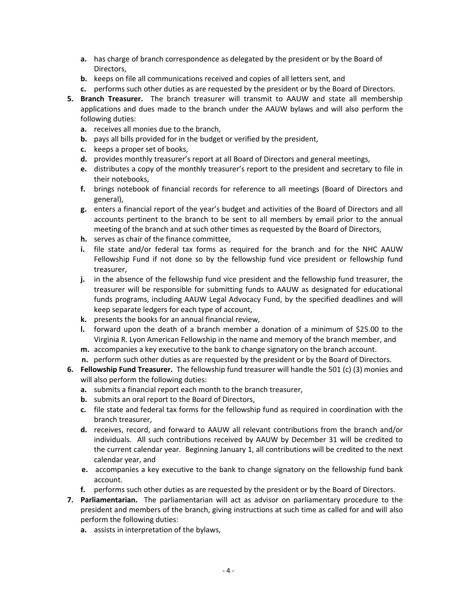- **a.** has charge of branch correspondence as delegated by the president or by the Board of Directors,
- **b.** keeps on file all communications received and copies of all letters sent, and
- **c.** performs such other duties as are requested by the president or by the Board of Directors.
- **5. Branch Treasurer.** The branch treasurer will transmit to AAUW and state all membership applications and dues made to the branch under the AAUW bylaws and will also perform the following duties:
	- **a.** receives all monies due to the branch,
	- **b.** pays all bills provided for in the budget or verified by the president,
	- **c.** keeps a proper set of books,
	- **d.** provides monthly treasurer's report at all Board of Directors and general meetings,
	- **e.** distributes a copy of the monthly treasurer's report to the president and secretary to file in their notebooks,
	- **f.** brings notebook of financial records for reference to all meetings (Board of Directors and general),
	- **g.** enters a financial report of the year's budget and activities of the Board of Directors and all accounts pertinent to the branch to be sent to all members by email prior to the annual meeting of the branch and at such other times as requested by the Board of Directors,
	- **h.** serves as chair of the finance committee,
	- **i.** file state and/or federal tax forms as required for the branch and for the NHC AAUW Fellowship Fund if not done so by the fellowship fund vice president or fellowship fund treasurer,
	- **j.** in the absence of the fellowship fund vice president and the fellowship fund treasurer, the treasurer will be responsible for submitting funds to AAUW as designated for educational funds programs, including AAUW Legal Advocacy Fund, by the specified deadlines and will keep separate ledgers for each type of account,
	- **k.** presents the books for an annual financial review,
	- **l.** forward upon the death of a branch member a donation of a minimum of \$25.00 to the Virginia R. Lyon American Fellowship in the name and memory of the branch member, and
	- **m.** accompanies a key executive to the bank to change signatory on the branch account.
	- **n.** perform such other duties as are requested by the president or by the Board of Directors.
- **6. Fellowship Fund Treasurer.** The fellowship fund treasurer will handle the 501 (c) (3) monies and will also perform the following duties:
	- **a.** submits a financial report each month to the branch treasurer,
	- **b.** submits an oral report to the Board of Directors,
	- **c.** file state and federal tax forms for the fellowship fund as required in coordination with the branch treasurer,
	- **d.** receives, record, and forward to AAUW all relevant contributions from the branch and/or individuals. All such contributions received by AAUW by December 31 will be credited to the current calendar year. Beginning January 1, all contributions will be credited to the next calendar year, and
	- **e.** accompanies a key executive to the bank to change signatory on the fellowship fund bank account.
	- **f.** performs such other duties as are requested by the president or by the Board of Directors.
- **7. Parliamentarian.** The parliamentarian will act as advisor on parliamentary procedure to the president and members of the branch, giving instructions at such time as called for and will also perform the following duties:
	- **a.** assists in interpretation of the bylaws,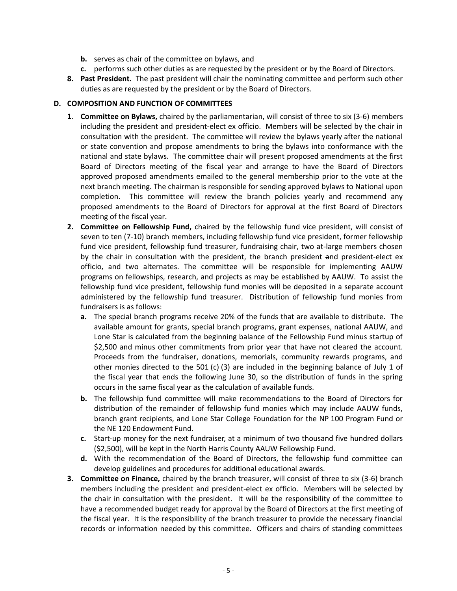- **b.** serves as chair of the committee on bylaws, and
- **c.** performs such other duties as are requested by the president or by the Board of Directors.
- **8. Past President.** The past president will chair the nominating committee and perform such other duties as are requested by the president or by the Board of Directors.

#### **D. COMPOSITION AND FUNCTION OF COMMITTEES**

- **1**. **Committee on Bylaws,** chaired by the parliamentarian, will consist of three to six (3-6) members including the president and president-elect ex officio. Members will be selected by the chair in consultation with the president. The committee will review the bylaws yearly after the national or state convention and propose amendments to bring the bylaws into conformance with the national and state bylaws. The committee chair will present proposed amendments at the first Board of Directors meeting of the fiscal year and arrange to have the Board of Directors approved proposed amendments emailed to the general membership prior to the vote at the next branch meeting. The chairman is responsible for sending approved bylaws to National upon completion. This committee will review the branch policies yearly and recommend any proposed amendments to the Board of Directors for approval at the first Board of Directors meeting of the fiscal year.
- **2. Committee on Fellowship Fund,** chaired by the fellowship fund vice president, will consist of seven to ten (7-10) branch members, including fellowship fund vice president, former fellowship fund vice president, fellowship fund treasurer, fundraising chair, two at-large members chosen by the chair in consultation with the president, the branch president and president-elect ex officio, and two alternates. The committee will be responsible for implementing AAUW programs on fellowships, research, and projects as may be established by AAUW. To assist the fellowship fund vice president, fellowship fund monies will be deposited in a separate account administered by the fellowship fund treasurer. Distribution of fellowship fund monies from fundraisers is as follows:
	- **a.** The special branch programs receive 20% of the funds that are available to distribute. The available amount for grants, special branch programs, grant expenses, national AAUW, and Lone Star is calculated from the beginning balance of the Fellowship Fund minus startup of \$2,500 and minus other commitments from prior year that have not cleared the account. Proceeds from the fundraiser, donations, memorials, community rewards programs, and other monies directed to the 501 (c) (3) are included in the beginning balance of July 1 of the fiscal year that ends the following June 30, so the distribution of funds in the spring occurs in the same fiscal year as the calculation of available funds.
	- **b.** The fellowship fund committee will make recommendations to the Board of Directors for distribution of the remainder of fellowship fund monies which may include AAUW funds, branch grant recipients, and Lone Star College Foundation for the NP 100 Program Fund or the NE 120 Endowment Fund.
	- **c.** Start-up money for the next fundraiser, at a minimum of two thousand five hundred dollars (\$2,500), will be kept in the North Harris County AAUW Fellowship Fund.
	- **d.** With the recommendation of the Board of Directors, the fellowship fund committee can develop guidelines and procedures for additional educational awards.
- **3. Committee on Finance,** chaired by the branch treasurer, will consist of three to six (3-6) branch members including the president and president-elect ex officio. Members will be selected by the chair in consultation with the president. It will be the responsibility of the committee to have a recommended budget ready for approval by the Board of Directors at the first meeting of the fiscal year. It is the responsibility of the branch treasurer to provide the necessary financial records or information needed by this committee. Officers and chairs of standing committees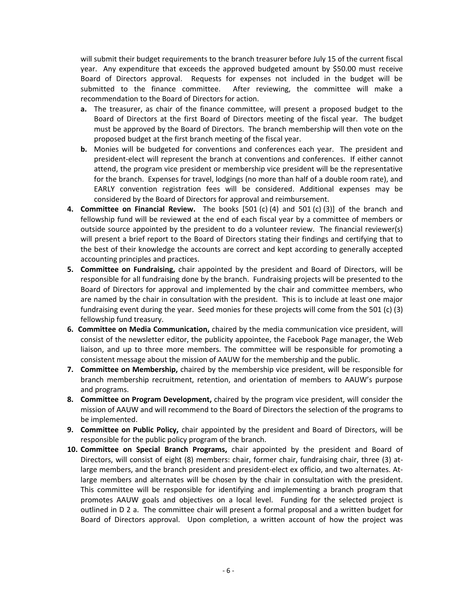will submit their budget requirements to the branch treasurer before July 15 of the current fiscal year. Any expenditure that exceeds the approved budgeted amount by \$50.00 must receive Board of Directors approval. Requests for expenses not included in the budget will be submitted to the finance committee. After reviewing, the committee will make a recommendation to the Board of Directors for action.

- **a.** The treasurer, as chair of the finance committee, will present a proposed budget to the Board of Directors at the first Board of Directors meeting of the fiscal year. The budget must be approved by the Board of Directors. The branch membership will then vote on the proposed budget at the first branch meeting of the fiscal year.
- **b.** Monies will be budgeted for conventions and conferences each year. The president and president-elect will represent the branch at conventions and conferences. If either cannot attend, the program vice president or membership vice president will be the representative for the branch. Expenses for travel, lodgings (no more than half of a double room rate), and EARLY convention registration fees will be considered. Additional expenses may be considered by the Board of Directors for approval and reimbursement.
- **4. Committee on Financial Review.** The books [501 (c) (4) and 501 (c) (3)] of the branch and fellowship fund will be reviewed at the end of each fiscal year by a committee of members or outside source appointed by the president to do a volunteer review. The financial reviewer(s) will present a brief report to the Board of Directors stating their findings and certifying that to the best of their knowledge the accounts are correct and kept according to generally accepted accounting principles and practices.
- **5. Committee on Fundraising,** chair appointed by the president and Board of Directors, will be responsible for all fundraising done by the branch. Fundraising projects will be presented to the Board of Directors for approval and implemented by the chair and committee members, who are named by the chair in consultation with the president. This is to include at least one major fundraising event during the year. Seed monies for these projects will come from the 501 (c) (3) fellowship fund treasury.
- **6. Committee on Media Communication,** chaired by the media communication vice president, will consist of the newsletter editor, the publicity appointee, the Facebook Page manager, the Web liaison, and up to three more members. The committee will be responsible for promoting a consistent message about the mission of AAUW for the membership and the public.
- **7. Committee on Membership,** chaired by the membership vice president, will be responsible for branch membership recruitment, retention, and orientation of members to AAUW's purpose and programs.
- **8. Committee on Program Development,** chaired by the program vice president, will consider the mission of AAUW and will recommend to the Board of Directors the selection of the programs to be implemented.
- **9. Committee on Public Policy,** chair appointed by the president and Board of Directors, will be responsible for the public policy program of the branch.
- **10. Committee on Special Branch Programs,** chair appointed by the president and Board of Directors, will consist of eight (8) members: chair, former chair, fundraising chair, three (3) atlarge members, and the branch president and president-elect ex officio, and two alternates. Atlarge members and alternates will be chosen by the chair in consultation with the president. This committee will be responsible for identifying and implementing a branch program that promotes AAUW goals and objectives on a local level. Funding for the selected project is outlined in D 2 a. The committee chair will present a formal proposal and a written budget for Board of Directors approval. Upon completion, a written account of how the project was